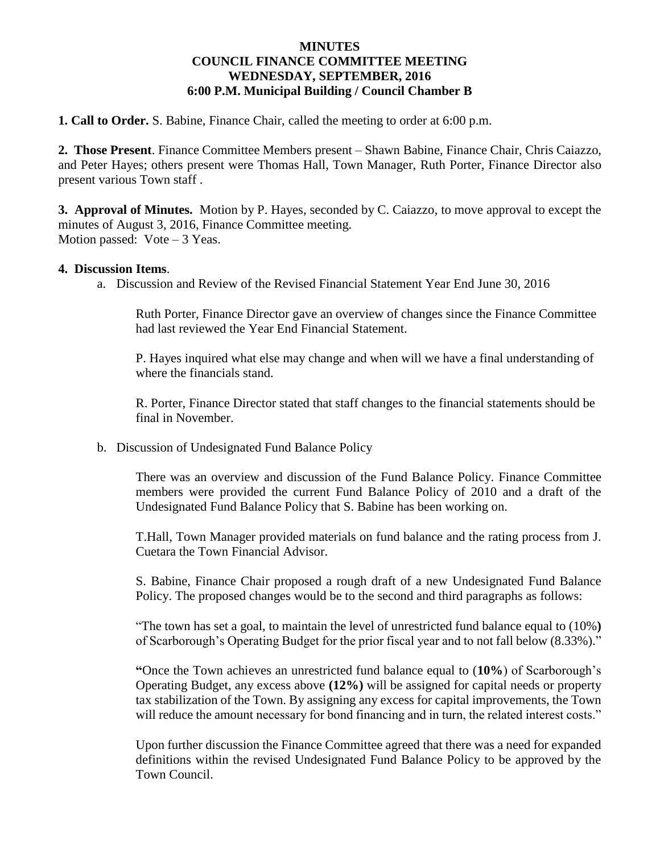## **MINUTES COUNCIL FINANCE COMMITTEE MEETING WEDNESDAY, SEPTEMBER, 2016 6:00 P.M. Municipal Building / Council Chamber B**

**1. Call to Order.** S. Babine, Finance Chair, called the meeting to order at 6:00 p.m.

**2. Those Present**. Finance Committee Members present – Shawn Babine, Finance Chair, Chris Caiazzo, and Peter Hayes; others present were Thomas Hall, Town Manager, Ruth Porter, Finance Director also present various Town staff .

**3. Approval of Minutes.** Motion by P. Hayes, seconded by C. Caiazzo, to move approval to except the minutes of August 3, 2016, Finance Committee meeting. Motion passed: Vote – 3 Yeas.

## **4. Discussion Items**.

a. Discussion and Review of the Revised Financial Statement Year End June 30, 2016

Ruth Porter, Finance Director gave an overview of changes since the Finance Committee had last reviewed the Year End Financial Statement.

P. Hayes inquired what else may change and when will we have a final understanding of where the financials stand.

R. Porter, Finance Director stated that staff changes to the financial statements should be final in November.

b. Discussion of Undesignated Fund Balance Policy

There was an overview and discussion of the Fund Balance Policy. Finance Committee members were provided the current Fund Balance Policy of 2010 and a draft of the Undesignated Fund Balance Policy that S. Babine has been working on.

T.Hall, Town Manager provided materials on fund balance and the rating process from J. Cuetara the Town Financial Advisor.

S. Babine, Finance Chair proposed a rough draft of a new Undesignated Fund Balance Policy. The proposed changes would be to the second and third paragraphs as follows:

"The town has set a goal, to maintain the level of unrestricted fund balance equal to (10%**)** of Scarborough's Operating Budget for the prior fiscal year and to not fall below (8.33%)."

**"**Once the Town achieves an unrestricted fund balance equal to (**10%**) of Scarborough's Operating Budget, any excess above **(12%)** will be assigned for capital needs or property tax stabilization of the Town. By assigning any excess for capital improvements, the Town will reduce the amount necessary for bond financing and in turn, the related interest costs."

Upon further discussion the Finance Committee agreed that there was a need for expanded definitions within the revised Undesignated Fund Balance Policy to be approved by the Town Council.